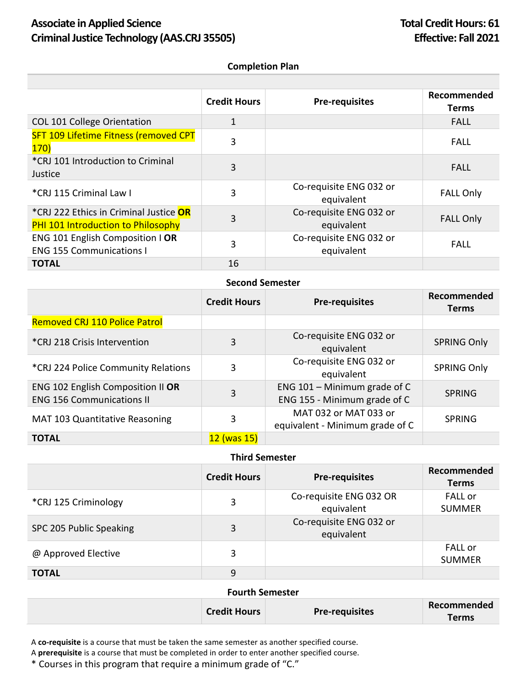## Associate in Applied Science **Total Credit Hours: 61 Criminal Justice Technology (AAS.CRJ 35505) Effective: Fall 2021**

#### **Completion Plan**

|                                                                     | <b>Credit Hours</b> | <b>Pre-requisites</b>                 | Recommended<br>Terms |
|---------------------------------------------------------------------|---------------------|---------------------------------------|----------------------|
| COL 101 College Orientation                                         | 1                   |                                       | <b>FALL</b>          |
| <b>SFT 109 Lifetime Fitness (removed CPT</b><br>170)                | 3                   |                                       | <b>FALL</b>          |
| *CRJ 101 Introduction to Criminal<br>Justice                        | 3                   |                                       | FALL                 |
| *CRJ 115 Criminal Law I                                             | 3                   | Co-requisite ENG 032 or<br>equivalent | <b>FALL Only</b>     |
| *CRJ 222 Ethics in Criminal Justice OR                              | 3                   | Co-requisite ENG 032 or               | <b>FALL Only</b>     |
| <b>PHI 101 Introduction to Philosophy</b>                           |                     | equivalent                            |                      |
| ENG 101 English Composition   OR<br><b>ENG 155 Communications I</b> | 3                   | Co-requisite ENG 032 or<br>equivalent | <b>FALL</b>          |
| <b>TOTAL</b>                                                        | 16                  |                                       |                      |

### **Second Semester**

|                                                                       | <b>Credit Hours</b> | <b>Pre-requisites</b>                                          | Recommended<br><b>Terms</b> |
|-----------------------------------------------------------------------|---------------------|----------------------------------------------------------------|-----------------------------|
| <b>Removed CRJ 110 Police Patrol</b>                                  |                     |                                                                |                             |
| *CRJ 218 Crisis Intervention                                          | 3                   | Co-requisite ENG 032 or<br>equivalent                          | <b>SPRING Only</b>          |
| *CRJ 224 Police Community Relations                                   | 3                   | Co-requisite ENG 032 or<br>equivalent                          | <b>SPRING Only</b>          |
| ENG 102 English Composition II OR<br><b>ENG 156 Communications II</b> | 3                   | ENG $101 -$ Minimum grade of C<br>ENG 155 - Minimum grade of C | <b>SPRING</b>               |
| MAT 103 Quantitative Reasoning                                        | 3                   | MAT 032 or MAT 033 or<br>equivalent - Minimum grade of C       | <b>SPRING</b>               |
| <b>TOTAL</b>                                                          | $12$ (was $15$ )    |                                                                |                             |

# **Third Semester**

|                         | <b>Credit Hours</b> | <b>Pre-requisites</b>                 | Recommended<br><b>Terms</b>     |
|-------------------------|---------------------|---------------------------------------|---------------------------------|
| *CRJ 125 Criminology    | 3                   | Co-requisite ENG 032 OR<br>equivalent | <b>FALL</b> or<br><b>SUMMER</b> |
| SPC 205 Public Speaking | 3                   | Co-requisite ENG 032 or<br>equivalent |                                 |
| @ Approved Elective     | 3                   |                                       | <b>FALL or</b><br><b>SUMMER</b> |
| <b>TOTAL</b>            | 9                   |                                       |                                 |

### **Fourth Semester**

|  | <b>Credit Hours</b> | <b>Pre-requisites</b> | Recommended |
|--|---------------------|-----------------------|-------------|
|  |                     |                       | Terms       |

A **co-requisite** is a course that must be taken the same semester as another specified course.

A **prerequisite** is a course that must be completed in order to enter another specified course.

\* Courses in this program that require a minimum grade of "C."